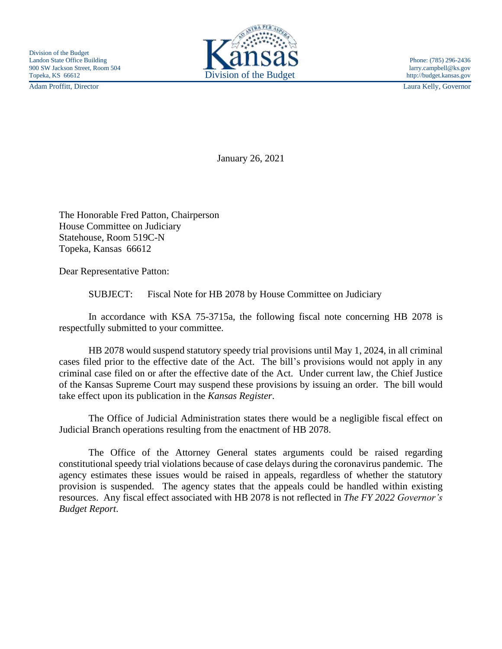Adam Proffitt, Director Laura Kelly, Governor



January 26, 2021

The Honorable Fred Patton, Chairperson House Committee on Judiciary Statehouse, Room 519C-N Topeka, Kansas 66612

Dear Representative Patton:

SUBJECT: Fiscal Note for HB 2078 by House Committee on Judiciary

In accordance with KSA 75-3715a, the following fiscal note concerning HB 2078 is respectfully submitted to your committee.

HB 2078 would suspend statutory speedy trial provisions until May 1, 2024, in all criminal cases filed prior to the effective date of the Act. The bill's provisions would not apply in any criminal case filed on or after the effective date of the Act. Under current law, the Chief Justice of the Kansas Supreme Court may suspend these provisions by issuing an order. The bill would take effect upon its publication in the *Kansas Register*.

The Office of Judicial Administration states there would be a negligible fiscal effect on Judicial Branch operations resulting from the enactment of HB 2078.

The Office of the Attorney General states arguments could be raised regarding constitutional speedy trial violations because of case delays during the coronavirus pandemic. The agency estimates these issues would be raised in appeals, regardless of whether the statutory provision is suspended. The agency states that the appeals could be handled within existing resources. Any fiscal effect associated with HB 2078 is not reflected in *The FY 2022 Governor's Budget Report*.